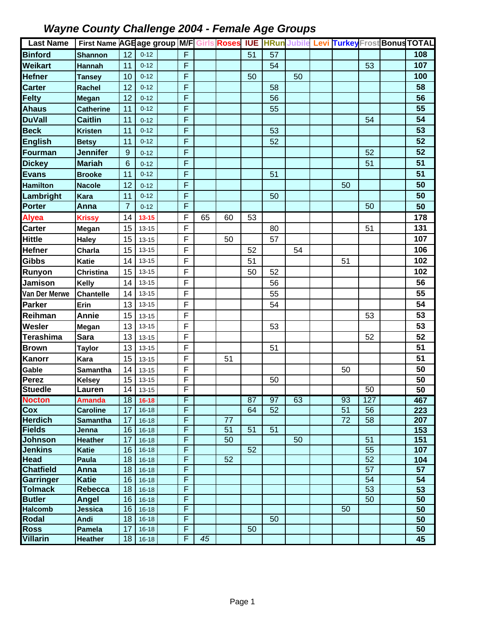| <b>Last Name</b>                | First Name AGE age group M/F Girls Roses |                |                        |             |    |    | <b>IUE</b> |    |    |    |          | <b>HRun Jubile Levi Turkey Frost Bonus TOTAL</b> |
|---------------------------------|------------------------------------------|----------------|------------------------|-------------|----|----|------------|----|----|----|----------|--------------------------------------------------|
| <b>Binford</b>                  | <b>Shannon</b>                           | 12             | $0 - 12$               | $\mathsf F$ |    |    | 51         | 57 |    |    |          | 108                                              |
| <b>Weikart</b>                  | <b>Hannah</b>                            | 11             | $0 - 12$               | F           |    |    |            | 54 |    |    | 53       | 107                                              |
| <b>Hefner</b>                   | <b>Tansey</b>                            | 10             | $0 - 12$               | F           |    |    | 50         |    | 50 |    |          | 100                                              |
| <b>Carter</b>                   | <b>Rachel</b>                            | 12             | $0 - 12$               | F           |    |    |            | 58 |    |    |          | 58                                               |
| <b>Felty</b>                    | Megan                                    | 12             | $0 - 12$               | F           |    |    |            | 56 |    |    |          | 56                                               |
| <b>Ahaus</b>                    | <b>Catherine</b>                         | 11             | $0 - 12$               | F           |    |    |            | 55 |    |    |          | 55                                               |
| <b>DuVall</b>                   | <b>Caitlin</b>                           | 11             | $0 - 12$               | F           |    |    |            |    |    |    | 54       | 54                                               |
| <b>Beck</b>                     | <b>Kristen</b>                           | 11             | $0 - 12$               | F           |    |    |            | 53 |    |    |          | 53                                               |
| <b>English</b>                  | <b>Betsy</b>                             | 11             | $0 - 12$               | F           |    |    |            | 52 |    |    |          | 52                                               |
| <b>Fourman</b>                  | <b>Jennifer</b>                          | $9$            | $0 - 12$               | F           |    |    |            |    |    |    | 52       | 52                                               |
| <b>Dickey</b>                   | <b>Mariah</b>                            | 6              | $0 - 12$               | F           |    |    |            |    |    |    | 51       | 51                                               |
| <b>Evans</b>                    | <b>Brooke</b>                            | 11             | $0 - 12$               | F           |    |    |            | 51 |    |    |          | 51                                               |
| <b>Hamilton</b>                 | <b>Nacole</b>                            | 12             | $0 - 12$               | F           |    |    |            |    |    | 50 |          | 50                                               |
| Lambright                       | <b>Kara</b>                              | 11             | $0 - 12$               | F           |    |    |            | 50 |    |    |          | 50                                               |
| Porter                          | Anna                                     | $\overline{7}$ | $0 - 12$               | F           |    |    |            |    |    |    | 50       | 50                                               |
| <b>Alyea</b>                    | <b>Krissy</b>                            | 14             | $13 - 15$              | F           | 65 | 60 | 53         |    |    |    |          | 178                                              |
| <b>Carter</b>                   | Megan                                    | 15             | 13-15                  | F           |    |    |            | 80 |    |    | 51       | 131                                              |
| <b>Hittle</b>                   | <b>Haley</b>                             | 15             | $13 - 15$              | F           |    | 50 |            | 57 |    |    |          | 107                                              |
| <b>Hefner</b>                   | Charla                                   | 15             | 13-15                  | F           |    |    | 52         |    | 54 |    |          | 106                                              |
| <b>Gibbs</b>                    | <b>Katie</b>                             | 14             | $13 - 15$              | F           |    |    | 51         |    |    | 51 |          | 102                                              |
| Runyon                          | <b>Christina</b>                         | 15             | $13 - 15$              | F           |    |    | 50         | 52 |    |    |          | 102                                              |
| <b>Jamison</b>                  | <b>Kelly</b>                             | 14             | $13 - 15$              | F           |    |    |            | 56 |    |    |          | 56                                               |
| Van Der Merwe                   | <b>Chantelle</b>                         | 14             | $13 - 15$              | F           |    |    |            | 55 |    |    |          | 55                                               |
| <b>Parker</b>                   | Erin                                     | 13             | $13 - 15$              | F           |    |    |            | 54 |    |    |          | 54                                               |
| Reihman                         | <b>Annie</b>                             | 15             | $13 - 15$              | F           |    |    |            |    |    |    | 53       | 53                                               |
| Wesler                          | <b>Megan</b>                             | 13             | $13 - 15$              | F           |    |    |            | 53 |    |    |          | 53                                               |
| <b>Terashima</b>                | <b>Sara</b>                              | 13             | 13-15                  | F           |    |    |            |    |    |    | 52       | 52                                               |
| <b>Brown</b>                    | <b>Taylor</b>                            | 13             | 13-15                  | F           |    |    |            | 51 |    |    |          | 51                                               |
| Kanorr                          | Kara                                     | 15             | $13 - 15$              | F           |    | 51 |            |    |    |    |          | 51                                               |
| Gable                           | <b>Samantha</b>                          | 14             | $13 - 15$              | F           |    |    |            |    |    | 50 |          | 50                                               |
| Perez                           | <b>Kelsey</b>                            | 15             | $13 - 15$              | F           |    |    |            | 50 |    |    |          | 50                                               |
| <b>Stuedle</b>                  | Lauren                                   |                | $\overline{14}$ 13-15  | F           |    |    |            |    |    |    | 50       | $\overline{50}$                                  |
| <b>Nocton</b>                   | <b>Amanda</b>                            | 18             | $16 - 18$              | F           |    |    | 87         | 97 | 63 | 93 | 127      | 467                                              |
| Cox                             | <b>Caroline</b>                          | 17             | $16 - 18$              | F           |    |    | 64         | 52 |    | 51 | 56       | 223                                              |
| <b>Herdich</b>                  | <b>Samantha</b>                          | 17             | $16 - 18$              | F           |    | 77 |            |    |    | 72 | 58       | 207                                              |
| <b>Fields</b>                   | Jenna                                    | 16             | $16 - 18$              | F           |    | 51 | 51         | 51 |    |    |          | 153                                              |
| <b>Johnson</b>                  | <b>Heather</b>                           | 17             | $16 - 18$              | F           |    | 50 |            |    | 50 |    | 51       | 151                                              |
| <b>Jenkins</b>                  | <b>Katie</b>                             | 16             | $16 - 18$              | F           |    |    | 52         |    |    |    | 55       | 107                                              |
| <b>Head</b>                     | Paula                                    | 18             | $16 - 18$              | F           |    | 52 |            |    |    |    | 52       | 104                                              |
| <b>Chatfield</b>                | Anna                                     | 18             | $16 - 18$              | F<br>F      |    |    |            |    |    |    | 57       | 57                                               |
| Garringer                       | <b>Katie</b>                             | 16             | $16 - 18$              | F           |    |    |            |    |    |    | 54       | 54                                               |
| <b>Tolmack</b><br><b>Butler</b> | <b>Rebecca</b><br>Angel                  | 18<br>16       | $16-18$                | F           |    |    |            |    |    |    | 53<br>50 | 53<br>$\overline{50}$                            |
| <b>Halcomb</b>                  | Jessica                                  | 16             | $16 - 18$<br>$16 - 18$ | F           |    |    |            |    |    | 50 |          | 50                                               |
| <b>Rodal</b>                    | Andi                                     | 18             | $16-18$                | F           |    |    |            | 50 |    |    |          | 50                                               |
| <b>Ross</b>                     | Pamela                                   | 17             | $16-18$                | F           |    |    | 50         |    |    |    |          | 50                                               |
| <b>Villarin</b>                 | <b>Heather</b>                           | 18             | $16 - 18$              | F           | 45 |    |            |    |    |    |          | 45                                               |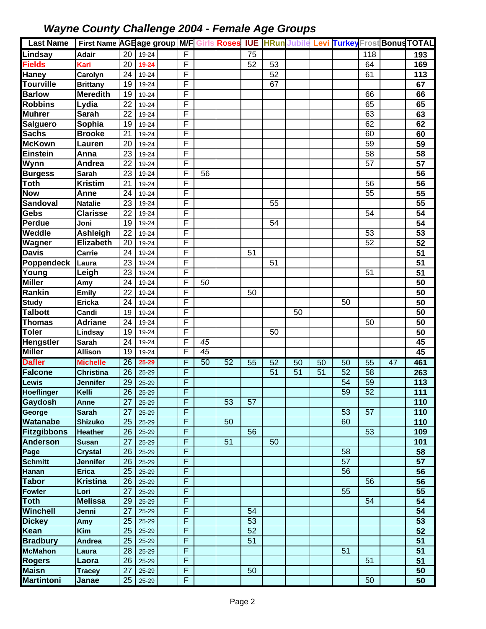| <b>Last Name</b>          | First Name AGE age group M/F Girls Roses IUE HRun Jubile Levi Turkey Frost Bonus TOTAL |                 |                |        |                 |    |                 |                 |    |    |                 |                  |    |                 |
|---------------------------|----------------------------------------------------------------------------------------|-----------------|----------------|--------|-----------------|----|-----------------|-----------------|----|----|-----------------|------------------|----|-----------------|
| Lindsay                   | <b>Adair</b>                                                                           | $\overline{20}$ | 19-24          | F      |                 |    | 75              |                 |    |    |                 | $\overline{118}$ |    | 193             |
| <b>Fields</b>             | Kari                                                                                   | 20              | 19-24          | F      |                 |    | $\overline{52}$ | 53              |    |    |                 | 64               |    | 169             |
| Haney                     | Carolyn                                                                                | 24              | 19-24          | F      |                 |    |                 | $\overline{52}$ |    |    |                 | 61               |    | 113             |
| <b>Tourville</b>          | <b>Brittany</b>                                                                        | 19              | 19-24          | F      |                 |    |                 | 67              |    |    |                 |                  |    | 67              |
| <b>Barlow</b>             | <b>Meredith</b>                                                                        | 19              | 19-24          | F      |                 |    |                 |                 |    |    |                 | 66               |    | 66              |
| <b>Robbins</b>            | Lydia                                                                                  | 22              | 19-24          | F      |                 |    |                 |                 |    |    |                 | 65               |    | 65              |
| <b>Muhrer</b>             | <b>Sarah</b>                                                                           | 22              | 19-24          | F      |                 |    |                 |                 |    |    |                 | 63               |    | 63              |
| <b>Salguero</b>           | Sophia                                                                                 | 19              | 19-24          | F      |                 |    |                 |                 |    |    |                 | 62               |    | 62              |
| <b>Sachs</b>              | <b>Brooke</b>                                                                          | 21              | 19-24          | F      |                 |    |                 |                 |    |    |                 | 60               |    | 60              |
| <b>McKown</b>             | Lauren                                                                                 | 20              | 19-24          | F      |                 |    |                 |                 |    |    |                 | 59               |    | 59              |
| <b>Einstein</b>           | Anna                                                                                   | 23              | 19-24          | F      |                 |    |                 |                 |    |    |                 | 58               |    | 58              |
| <b>Wynn</b>               | Andrea                                                                                 | 22              | 19-24          | F      |                 |    |                 |                 |    |    |                 | 57               |    | $\overline{57}$ |
| <b>Burgess</b>            | Sarah                                                                                  | 23              | 19-24          | F      | 56              |    |                 |                 |    |    |                 |                  |    | 56              |
| $\overline{\text{To}}$ th | <b>Kristim</b>                                                                         | 21              | 19-24          | F      |                 |    |                 |                 |    |    |                 | 56               |    | 56              |
| <b>Now</b>                | Anne                                                                                   | 24              | 19-24          | F      |                 |    |                 |                 |    |    |                 | 55               |    | 55              |
| Sandoval                  | <b>Natalie</b>                                                                         | 23              | 19-24          | F      |                 |    |                 | 55              |    |    |                 |                  |    | $\overline{55}$ |
| <b>Gebs</b>               | <b>Clarisse</b>                                                                        | $\overline{22}$ | 19-24          | F      |                 |    |                 |                 |    |    |                 | 54               |    | 54              |
| Perdue                    | Joni                                                                                   | 19              | 19-24          | F      |                 |    |                 | 54              |    |    |                 |                  |    | $\overline{54}$ |
| Weddle                    | Ashleigh                                                                               | 22              | 19-24          | F      |                 |    |                 |                 |    |    |                 | 53               |    | 53              |
| Wagner                    | <b>Elizabeth</b>                                                                       | 20              | 19-24          | F      |                 |    |                 |                 |    |    |                 | $\overline{52}$  |    | 52              |
| <b>Davis</b>              | Carrie                                                                                 | 24              | 19-24          | F      |                 |    | 51              |                 |    |    |                 |                  |    | 51              |
| Poppendeck                | Laura                                                                                  | 23              | 19-24          | F      |                 |    |                 | 51              |    |    |                 |                  |    | 51              |
| Young                     | Leigh                                                                                  | 23              | 19-24          | F      |                 |    |                 |                 |    |    |                 | 51               |    | 51              |
| <b>Miller</b>             | Amy                                                                                    | 24              | 19-24          | F      | 50              |    |                 |                 |    |    |                 |                  |    | 50              |
| Rankin                    | <b>Emily</b>                                                                           | 22              | 19-24          | F      |                 |    | 50              |                 |    |    |                 |                  |    | 50              |
| <b>Study</b>              | Ericka                                                                                 | 24              | 19-24          | F      |                 |    |                 |                 |    |    | 50              |                  |    | $\overline{50}$ |
| <b>Talbott</b>            | Candi                                                                                  | 19              | 19-24          | F      |                 |    |                 |                 | 50 |    |                 |                  |    | 50              |
| <b>Thomas</b>             | <b>Adriane</b>                                                                         | 24              | 19-24          | F      |                 |    |                 |                 |    |    |                 | 50               |    | 50              |
| <b>Toler</b>              | Lindsay                                                                                | 19              | 19-24          | F      |                 |    |                 | 50              |    |    |                 |                  |    | 50              |
| <b>Hengstler</b>          | <b>Sarah</b>                                                                           | 24              | 19-24          | F      | 45              |    |                 |                 |    |    |                 |                  |    | 45              |
| <b>Miller</b>             | <b>Allison</b>                                                                         | 19              | 19-24          | F      | $\overline{45}$ |    |                 |                 |    |    |                 |                  |    | 45              |
| <b>Dafler</b>             | <b>Michelle</b>                                                                        | 26              | 25-29          | F      | 50              | 52 | 55              | 52              | 50 | 50 | 50              | $\overline{55}$  | 47 | 461             |
| <b>Falcone</b>            | <b>Christina</b>                                                                       | 26              | $25 - 29$      | F      |                 |    |                 | 51              | 51 | 51 | 52              | 58               |    | 263             |
| <b>Lewis</b>              | <b>Jennifer</b>                                                                        | 29              | $25 - 29$      | F      |                 |    |                 |                 |    |    | $\overline{54}$ | 59               |    | 113             |
| <b>Hoeflinger</b>         | Kelli                                                                                  | 26              | 25-29          | F      |                 |    |                 |                 |    |    | 59              | $\overline{52}$  |    | 111             |
| Gaydosh                   | Anne                                                                                   | 27              | 25-29          | F      |                 | 53 | 57              |                 |    |    |                 |                  |    | 110             |
| George                    | <b>Sarah</b>                                                                           | 27              | 25-29          | F      |                 |    |                 |                 |    |    | 53              | 57               |    | 110             |
| <b>Watanabe</b>           | <b>Shizuko</b>                                                                         | 25              | 25-29          | F<br>F |                 | 50 |                 |                 |    |    | 60              |                  |    | 110             |
| <b>Fitzgibbons</b>        | <b>Heather</b>                                                                         | 26              | 25-29          | F      |                 | 51 | 56              | 50              |    |    |                 | 53               |    | 109             |
| <b>Anderson</b>           | <b>Susan</b>                                                                           | 27              | 25-29          | F      |                 |    |                 |                 |    |    | 58              |                  |    | 101<br>58       |
| Page<br><b>Schmitt</b>    | <b>Crystal</b><br>Jennifer                                                             | 26<br>26        | 25-29<br>25-29 | F      |                 |    |                 |                 |    |    | 57              |                  |    | 57              |
| <b>Hanan</b>              | <b>Erica</b>                                                                           | 25              | 25-29          | F      |                 |    |                 |                 |    |    | 56              |                  |    | 56              |
| <b>Tabor</b>              | <b>Kristina</b>                                                                        | 26              | 25-29          | F      |                 |    |                 |                 |    |    |                 | 56               |    | 56              |
| <b>Fowler</b>             | Lori                                                                                   | 27              | 25-29          | F      |                 |    |                 |                 |    |    | 55              |                  |    | 55              |
| <b>Toth</b>               | <b>Melissa</b>                                                                         | 29              | 25-29          | F      |                 |    |                 |                 |    |    |                 | 54               |    | 54              |
| Winchell                  | Jenni                                                                                  | 27              | 25-29          | F      |                 |    | 54              |                 |    |    |                 |                  |    | 54              |
| <b>Dickey</b>             | Amy                                                                                    | 25              | 25-29          | F      |                 |    | 53              |                 |    |    |                 |                  |    | $\overline{53}$ |
| Kean                      | <b>Kim</b>                                                                             | 25              | 25-29          | F      |                 |    | 52              |                 |    |    |                 |                  |    | 52              |
| <b>Bradbury</b>           | Andrea                                                                                 | 25              | 25-29          | F      |                 |    | $\overline{51}$ |                 |    |    |                 |                  |    | 51              |
| <b>McMahon</b>            | Laura                                                                                  | 28              | 25-29          | F      |                 |    |                 |                 |    |    | 51              |                  |    | 51              |
| <b>Rogers</b>             | Laora                                                                                  | 26              | 25-29          | F      |                 |    |                 |                 |    |    |                 | 51               |    | $\overline{51}$ |
| <b>Maisn</b>              | <b>Tracey</b>                                                                          | 27              | 25-29          | F      |                 |    | 50              |                 |    |    |                 |                  |    | 50              |
| <b>Martintoni</b>         | Janae                                                                                  | 25              | 25-29          | F      |                 |    |                 |                 |    |    |                 | 50               |    | 50              |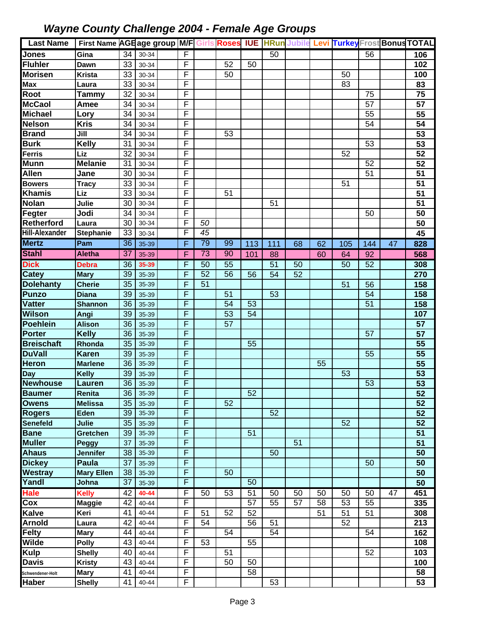| <b>Last Name</b>      | First Name AGEage group M/F Girls Roses IUE HRun Jubile Levi TurkeyFrost Bonus TOTAL |                 |       |                |                 |    |                 |                 |    |    |     |                 |    |                 |
|-----------------------|--------------------------------------------------------------------------------------|-----------------|-------|----------------|-----------------|----|-----------------|-----------------|----|----|-----|-----------------|----|-----------------|
| <b>Jones</b>          | Gina                                                                                 | $\overline{34}$ | 30-34 | $\overline{F}$ |                 |    |                 | 50              |    |    |     | 56              |    | 106             |
| <b>Fluhler</b>        | Dawn                                                                                 | 33              | 30-34 | F              |                 | 52 | 50              |                 |    |    |     |                 |    | 102             |
| <b>Morisen</b>        | Krista                                                                               | 33              | 30-34 | F              |                 | 50 |                 |                 |    |    | 50  |                 |    | 100             |
| <b>Max</b>            | Laura                                                                                | 33              | 30-34 | F              |                 |    |                 |                 |    |    | 83  |                 |    | 83              |
| <b>Root</b>           | <b>Tammy</b>                                                                         | 32              | 30-34 | F              |                 |    |                 |                 |    |    |     | 75              |    | $\overline{75}$ |
| <b>McCaol</b>         | Amee                                                                                 | 34              | 30-34 | F              |                 |    |                 |                 |    |    |     | 57              |    | 57              |
| <b>Michael</b>        | Lory                                                                                 | 34              | 30-34 | F              |                 |    |                 |                 |    |    |     | 55              |    | 55              |
| <b>Nelson</b>         | <b>Kris</b>                                                                          | 34              | 30-34 | $\overline{F}$ |                 |    |                 |                 |    |    |     | 54              |    | 54              |
| <b>Brand</b>          | Jill                                                                                 | 34              | 30-34 | F              |                 | 53 |                 |                 |    |    |     |                 |    | 53              |
| <b>Burk</b>           | <b>Kelly</b>                                                                         | 31              | 30-34 | F              |                 |    |                 |                 |    |    |     | 53              |    | 53              |
| Ferris                | Liz                                                                                  | 32              | 30-34 | F              |                 |    |                 |                 |    |    | 52  |                 |    | 52              |
| <b>Munn</b>           | <b>Melanie</b>                                                                       | 31              | 30-34 | F              |                 |    |                 |                 |    |    |     | 52              |    | $\overline{52}$ |
| <b>Allen</b>          | Jane                                                                                 | 30              | 30-34 | F              |                 |    |                 |                 |    |    |     | 51              |    | $\overline{51}$ |
| <b>Bowers</b>         | <b>Tracy</b>                                                                         | 33              | 30-34 | F              |                 |    |                 |                 |    |    | 51  |                 |    | 51              |
| <b>Khamis</b>         | <b>Liz</b>                                                                           | 33              | 30-34 | F              |                 | 51 |                 |                 |    |    |     |                 |    | 51              |
| <b>Nolan</b>          | Julie                                                                                | 30              | 30-34 | F              |                 |    |                 | 51              |    |    |     |                 |    | $\overline{51}$ |
| Fegter                | Jodi                                                                                 | 34              | 30-34 | F              |                 |    |                 |                 |    |    |     | 50              |    | 50              |
| Retherford            | Laura                                                                                | 30              | 30-34 | F              | 50              |    |                 |                 |    |    |     |                 |    | 50              |
| <b>Hill-Alexander</b> | Stephanie                                                                            | 33              | 30-34 | F              | $\overline{45}$ |    |                 |                 |    |    |     |                 |    | 45              |
| <b>Mertz</b>          | Pam                                                                                  | $\overline{36}$ | 35-39 | F              | 79              | 99 | 113             | 111             | 68 | 62 | 105 | 144             | 47 | 828             |
| <b>Stahl</b>          | <b>Aletha</b>                                                                        | 37              | 35-39 | F              | 73              | 90 | 101             | 88              |    | 60 | 64  | 92              |    | 568             |
| <b>Dick</b>           | <b>Debra</b>                                                                         | $\overline{36}$ | 35-39 | F              | 50              | 55 |                 | 51              | 50 |    | 50  | $\overline{52}$ |    | 308             |
| Catey                 | <b>Mary</b>                                                                          | 39              | 35-39 | F              | 52              | 56 | 56              | 54              | 52 |    |     |                 |    | 270             |
| <b>Dolehanty</b>      | <b>Cherie</b>                                                                        | 35              | 35-39 | F              | 51              |    |                 |                 |    |    | 51  | 56              |    | 158             |
| <b>Punzo</b>          | <b>Diana</b>                                                                         | 39              | 35-39 | F              |                 | 51 |                 | 53              |    |    |     | 54              |    | 158             |
| <b>Vatter</b>         | <b>Shannon</b>                                                                       | 36              | 35-39 | F              |                 | 54 | 53              |                 |    |    |     | $\overline{51}$ |    | 158             |
| Wilson                | Angi                                                                                 | 39              | 35-39 | F              |                 | 53 | $\overline{54}$ |                 |    |    |     |                 |    | 107             |
| <b>Poehlein</b>       | <b>Alison</b>                                                                        | 36              | 35-39 | F              |                 | 57 |                 |                 |    |    |     |                 |    | 57              |
| <b>Porter</b>         | <b>Kelly</b>                                                                         | 36              | 35-39 | F              |                 |    |                 |                 |    |    |     | 57              |    | 57              |
| <b>Breischaft</b>     | Rhonda                                                                               | 35              | 35-39 | F              |                 |    | 55              |                 |    |    |     |                 |    | 55              |
| <b>DuVall</b>         | <b>Karen</b>                                                                         | 39              | 35-39 | F              |                 |    |                 |                 |    |    |     | 55              |    | $\overline{55}$ |
| <b>Heron</b>          | <b>Marlene</b>                                                                       | 36              | 35-39 | F              |                 |    |                 |                 |    | 55 |     |                 |    | 55              |
| <b>Day</b>            | <b>Kelly</b>                                                                         | 39              | 35-39 | F              |                 |    |                 |                 |    |    | 53  |                 |    | 53              |
| <b>Newhouse</b>       | Lauren                                                                               | 36              | 35-39 | F              |                 |    |                 |                 |    |    |     | 53              |    | 53              |
| <b>Baumer</b>         | Renita                                                                               | 36              | 35-39 | F              |                 |    | 52              |                 |    |    |     |                 |    | 52              |
| <b>Owens</b>          | <b>Melissa</b>                                                                       | 35              | 35-39 | F              |                 | 52 |                 |                 |    |    |     |                 |    | $\overline{52}$ |
| <b>Rogers</b>         | Eden                                                                                 | 39              | 35-39 | F              |                 |    |                 | 52              |    |    |     |                 |    | 52              |
| <b>Senefeld</b>       | Julie                                                                                | 35              | 35-39 | F              |                 |    |                 |                 |    |    | 52  |                 |    | $\overline{52}$ |
| <b>Bane</b>           | <b>Gretchen</b>                                                                      | 39              | 35-39 | F              |                 |    | 51              |                 |    |    |     |                 |    | 51              |
| <b>Muller</b>         | <b>Peggy</b>                                                                         | 37              | 35-39 | F              |                 |    |                 |                 | 51 |    |     |                 |    | 51              |
| <b>Ahaus</b>          | <b>Jennifer</b>                                                                      | 38              | 35-39 | F              |                 |    |                 | 50              |    |    |     |                 |    | 50              |
| <b>Dickey</b>         | Paula                                                                                | 37              | 35-39 | F              |                 |    |                 |                 |    |    |     | 50              |    | 50              |
| Westray               | <b>Mary Ellen</b>                                                                    | 38              | 35-39 | F              |                 | 50 |                 |                 |    |    |     |                 |    | 50              |
| Yandl                 | Johna                                                                                | 37              | 35-39 | F              |                 |    | 50              |                 |    |    |     |                 |    | 50              |
| <b>Hale</b>           | <b>Kelly</b>                                                                         | $\overline{42}$ | 40-44 | F              | 50              | 53 | $\overline{51}$ | 50              | 50 | 50 | 50  | 50              | 47 | 451             |
| Cox                   | <b>Maggie</b>                                                                        | 42              | 40-44 | F              |                 |    | 57              | 55              | 57 | 58 | 53  | 55              |    | 335             |
| <b>Kalve</b>          | Keri                                                                                 | 41              | 40-44 | F              | 51              | 52 | 52              |                 |    | 51 | 51  | 51              |    | 308             |
| <b>Arnold</b>         | Laura                                                                                | 42              | 40-44 | F              | 54              |    | 56              | 51              |    |    | 52  |                 |    | 213             |
| Felty                 | <b>Mary</b>                                                                          | 44              | 40-44 | F              |                 | 54 |                 | $\overline{54}$ |    |    |     | 54              |    | 162             |
| <b>Wilde</b>          | <b>Polly</b>                                                                         | 43              | 40-44 | F              | 53              |    | 55              |                 |    |    |     |                 |    | 108             |
| Kulp                  | Shelly                                                                               | 40              | 40-44 | F              |                 | 51 |                 |                 |    |    |     | 52              |    | 103             |
| <b>Davis</b>          | <b>Kristy</b>                                                                        | 43              | 40-44 | $\overline{F}$ |                 | 50 | 50              |                 |    |    |     |                 |    | 100             |
| Schwendener-Holt      | <b>Mary</b>                                                                          | 41              | 40-44 | F              |                 |    | $\overline{58}$ |                 |    |    |     |                 |    | 58              |
| Haber                 | <b>Shelly</b>                                                                        | 41              | 40-44 | F              |                 |    |                 | 53              |    |    |     |                 |    | 53              |
|                       |                                                                                      |                 |       |                |                 |    |                 |                 |    |    |     |                 |    |                 |